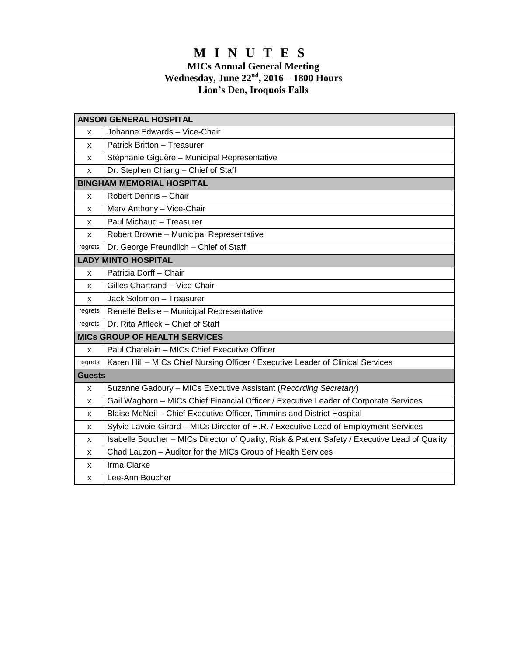# **M I N U T E S**

#### **MICs Annual General Meeting Wednesday, June 22 nd, 2016 – 1800 Hours Lion's Den, Iroquois Falls**

| <b>ANSON GENERAL HOSPITAL</b>        |                                                                                                |
|--------------------------------------|------------------------------------------------------------------------------------------------|
| x                                    | Johanne Edwards - Vice-Chair                                                                   |
| x                                    | Patrick Britton - Treasurer                                                                    |
| x                                    | Stéphanie Giguère - Municipal Representative                                                   |
| x                                    | Dr. Stephen Chiang - Chief of Staff                                                            |
| <b>BINGHAM MEMORIAL HOSPITAL</b>     |                                                                                                |
| x                                    | Robert Dennis - Chair                                                                          |
| x                                    | Merv Anthony - Vice-Chair                                                                      |
| X                                    | Paul Michaud - Treasurer                                                                       |
| x                                    | Robert Browne - Municipal Representative                                                       |
| regrets                              | Dr. George Freundlich - Chief of Staff                                                         |
| <b>LADY MINTO HOSPITAL</b>           |                                                                                                |
| x                                    | Patricia Dorff - Chair                                                                         |
| x                                    | Gilles Chartrand - Vice-Chair                                                                  |
| x                                    | Jack Solomon - Treasurer                                                                       |
| regrets                              | Renelle Belisle - Municipal Representative                                                     |
| regrets                              | Dr. Rita Affleck - Chief of Staff                                                              |
| <b>MICS GROUP OF HEALTH SERVICES</b> |                                                                                                |
| x                                    | Paul Chatelain - MICs Chief Executive Officer                                                  |
| regrets                              | Karen Hill - MICs Chief Nursing Officer / Executive Leader of Clinical Services                |
| <b>Guests</b>                        |                                                                                                |
| X                                    | Suzanne Gadoury - MICs Executive Assistant (Recording Secretary)                               |
| x                                    | Gail Waghorn - MICs Chief Financial Officer / Executive Leader of Corporate Services           |
| x                                    | Blaise McNeil - Chief Executive Officer, Timmins and District Hospital                         |
| x                                    | Sylvie Lavoie-Girard - MICs Director of H.R. / Executive Lead of Employment Services           |
| x                                    | Isabelle Boucher - MICs Director of Quality, Risk & Patient Safety / Executive Lead of Quality |
| x                                    | Chad Lauzon - Auditor for the MICs Group of Health Services                                    |
| х                                    | Irma Clarke                                                                                    |
| x                                    | Lee-Ann Boucher                                                                                |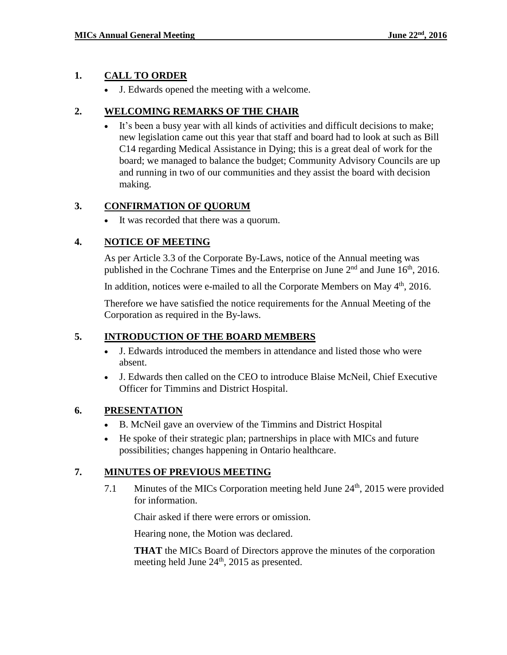## **1. CALL TO ORDER**

J. Edwards opened the meeting with a welcome.

## **2. WELCOMING REMARKS OF THE CHAIR**

 It's been a busy year with all kinds of activities and difficult decisions to make; new legislation came out this year that staff and board had to look at such as Bill C14 regarding Medical Assistance in Dying; this is a great deal of work for the board; we managed to balance the budget; Community Advisory Councils are up and running in two of our communities and they assist the board with decision making.

## **3. CONFIRMATION OF QUORUM**

It was recorded that there was a quorum.

## **4. NOTICE OF MEETING**

As per Article 3.3 of the Corporate By-Laws, notice of the Annual meeting was published in the Cochrane Times and the Enterprise on June  $2<sup>nd</sup>$  and June  $16<sup>th</sup>$ , 2016.

In addition, notices were e-mailed to all the Corporate Members on May  $4<sup>th</sup>$ , 2016.

Therefore we have satisfied the notice requirements for the Annual Meeting of the Corporation as required in the By-laws.

# **5. INTRODUCTION OF THE BOARD MEMBERS**

- J. Edwards introduced the members in attendance and listed those who were absent.
- J. Edwards then called on the CEO to introduce Blaise McNeil, Chief Executive Officer for Timmins and District Hospital.

## **6. PRESENTATION**

- B. McNeil gave an overview of the Timmins and District Hospital
- He spoke of their strategic plan; partnerships in place with MICs and future possibilities; changes happening in Ontario healthcare.

## **7. MINUTES OF PREVIOUS MEETING**

7.1 Minutes of the MICs Corporation meeting held June  $24<sup>th</sup>$ , 2015 were provided for information.

Chair asked if there were errors or omission.

Hearing none, the Motion was declared.

**THAT** the MICs Board of Directors approve the minutes of the corporation meeting held June  $24<sup>th</sup>$ , 2015 as presented.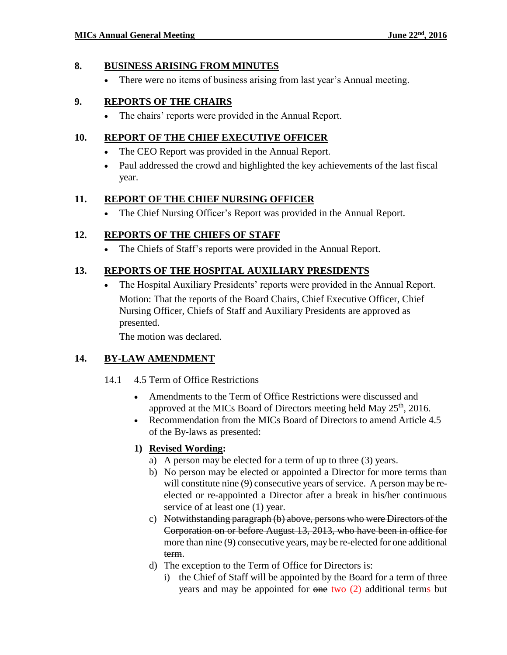#### **8. BUSINESS ARISING FROM MINUTES**

There were no items of business arising from last year's Annual meeting.

## **9. REPORTS OF THE CHAIRS**

The chairs' reports were provided in the Annual Report.

#### **10. REPORT OF THE CHIEF EXECUTIVE OFFICER**

- The CEO Report was provided in the Annual Report.
- Paul addressed the crowd and highlighted the key achievements of the last fiscal year.

#### **11. REPORT OF THE CHIEF NURSING OFFICER**

The Chief Nursing Officer's Report was provided in the Annual Report.

## **12. REPORTS OF THE CHIEFS OF STAFF**

The Chiefs of Staff's reports were provided in the Annual Report.

## **13. REPORTS OF THE HOSPITAL AUXILIARY PRESIDENTS**

 The Hospital Auxiliary Presidents' reports were provided in the Annual Report. Motion: That the reports of the Board Chairs, Chief Executive Officer, Chief Nursing Officer, Chiefs of Staff and Auxiliary Presidents are approved as presented.

The motion was declared.

## **14. BY-LAW AMENDMENT**

- 14.1 4.5 Term of Office Restrictions
	- Amendments to the Term of Office Restrictions were discussed and approved at the MICs Board of Directors meeting held May 25<sup>th</sup>, 2016.
	- Recommendation from the MICs Board of Directors to amend Article 4.5 of the By-laws as presented:

## **1) Revised Wording:**

- a) A person may be elected for a term of up to three (3) years.
- b) No person may be elected or appointed a Director for more terms than will constitute nine (9) consecutive years of service. A person may be reelected or re-appointed a Director after a break in his/her continuous service of at least one (1) year.
- c) Notwithstanding paragraph (b) above, persons who were Directors of the Corporation on or before August 13, 2013, who have been in office for more than nine (9) consecutive years, may be re-elected for one additional term.
- d) The exception to the Term of Office for Directors is:
	- i) the Chief of Staff will be appointed by the Board for a term of three years and may be appointed for one two (2) additional terms but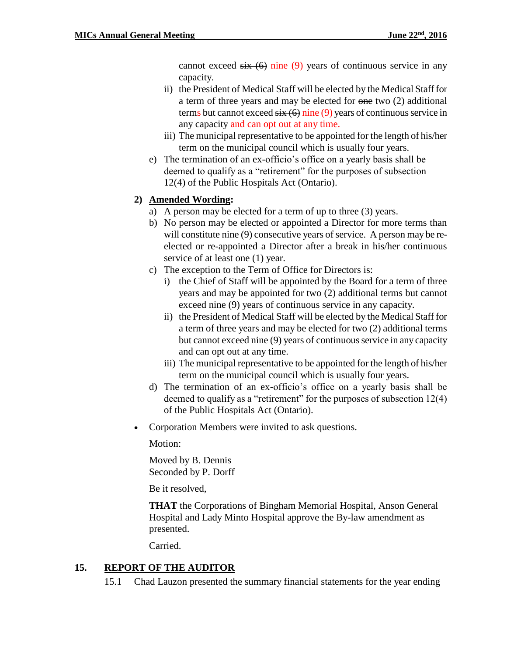cannot exceed  $six(6)$  nine (9) years of continuous service in any capacity.

- ii) the President of Medical Staff will be elected by the Medical Staff for a term of three years and may be elected for one two (2) additional terms but cannot exceed  $six(6)$  nine (9) years of continuous service in any capacity and can opt out at any time.
- iii) The municipal representative to be appointed for the length of his/her term on the municipal council which is usually four years.
- e) The termination of an ex-officio's office on a yearly basis shall be deemed to qualify as a "retirement" for the purposes of subsection 12(4) of the Public Hospitals Act (Ontario).

## **2) Amended Wording:**

- a) A person may be elected for a term of up to three (3) years.
- b) No person may be elected or appointed a Director for more terms than will constitute nine (9) consecutive years of service. A person may be reelected or re-appointed a Director after a break in his/her continuous service of at least one (1) year.
- c) The exception to the Term of Office for Directors is:
	- i) the Chief of Staff will be appointed by the Board for a term of three years and may be appointed for two (2) additional terms but cannot exceed nine (9) years of continuous service in any capacity.
	- ii) the President of Medical Staff will be elected by the Medical Staff for a term of three years and may be elected for two (2) additional terms but cannot exceed nine (9) years of continuous service in any capacity and can opt out at any time.
	- iii) The municipal representative to be appointed for the length of his/her term on the municipal council which is usually four years.
- d) The termination of an ex-officio's office on a yearly basis shall be deemed to qualify as a "retirement" for the purposes of subsection 12(4) of the Public Hospitals Act (Ontario).
- Corporation Members were invited to ask questions.

Motion:

Moved by B. Dennis Seconded by P. Dorff

Be it resolved,

**THAT** the Corporations of Bingham Memorial Hospital, Anson General Hospital and Lady Minto Hospital approve the By-law amendment as presented.

Carried.

## **15. REPORT OF THE AUDITOR**

15.1 Chad Lauzon presented the summary financial statements for the year ending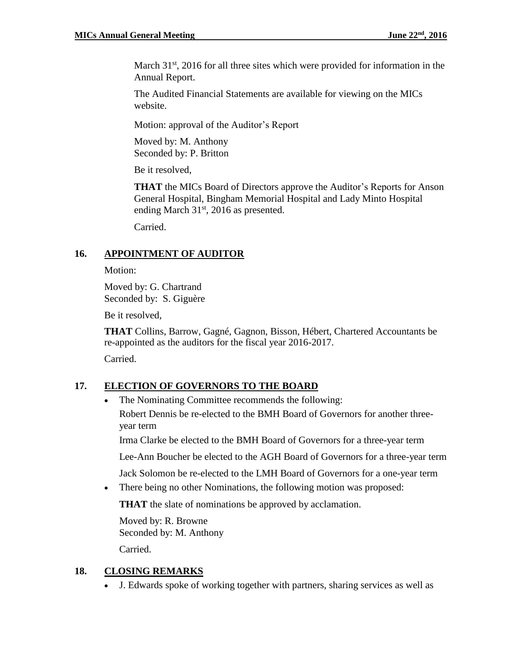March  $31<sup>st</sup>$ , 2016 for all three sites which were provided for information in the Annual Report.

The Audited Financial Statements are available for viewing on the MICs website.

Motion: approval of the Auditor's Report

Moved by: M. Anthony Seconded by: P. Britton

Be it resolved,

**THAT** the MICs Board of Directors approve the Auditor's Reports for Anson General Hospital, Bingham Memorial Hospital and Lady Minto Hospital ending March 31<sup>st</sup>, 2016 as presented.

Carried.

#### **16. APPOINTMENT OF AUDITOR**

Motion:

Moved by: G. Chartrand Seconded by: S. Giguère

Be it resolved,

**THAT** Collins, Barrow, Gagné, Gagnon, Bisson, Hébert, Chartered Accountants be re-appointed as the auditors for the fiscal year 2016-2017.

Carried.

# **17. ELECTION OF GOVERNORS TO THE BOARD**

• The Nominating Committee recommends the following: Robert Dennis be re-elected to the BMH Board of Governors for another threeyear term

Irma Clarke be elected to the BMH Board of Governors for a three-year term

Lee-Ann Boucher be elected to the AGH Board of Governors for a three-year term

Jack Solomon be re-elected to the LMH Board of Governors for a one-year term

• There being no other Nominations, the following motion was proposed:

**THAT** the slate of nominations be approved by acclamation.

Moved by: R. Browne Seconded by: M. Anthony Carried.

## **18. CLOSING REMARKS**

J. Edwards spoke of working together with partners, sharing services as well as